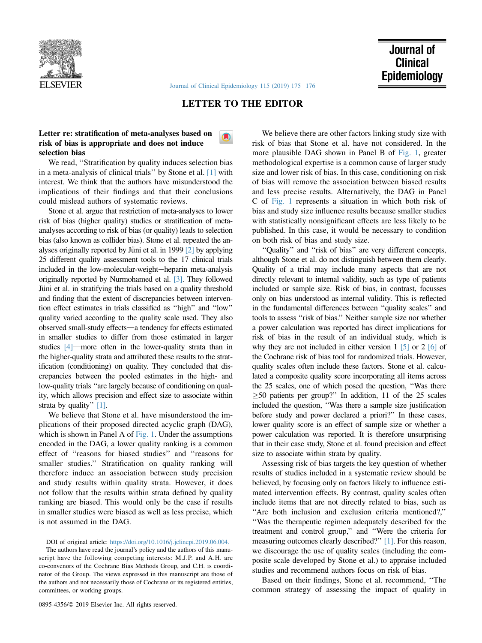

[Journal of Clinical Epidemiology 115 \(2019\) 175](https://doi.org/10.1016/j.jclinepi.2019.06.003)-[176](https://doi.org/10.1016/j.jclinepi.2019.06.003)

## LETTER TO THE EDITOR

 $\blacksquare$ 

## Letter re: stratification of meta-analyses based on risk of bias is appropriate and does not induce selection bias

We read, ''Stratification by quality induces selection bias in a meta-analysis of clinical trials'' by Stone et al. [\[1\]](#page-1-0) with interest. We think that the authors have misunderstood the implications of their findings and that their conclusions could mislead authors of systematic reviews.

Stone et al. argue that restriction of meta-analyses to lower risk of bias (higher quality) studies or stratification of metaanalyses according to risk of bias (or quality) leads to selection bias (also known as collider bias). Stone et al. repeated the analyses originally reported by Jüni et al. in 1999  $[2]$  by applying 25 different quality assessment tools to the 17 clinical trials included in the low-molecular-weight-heparin meta-analysis originally reported by Nurmohamed et al. [\[3\].](#page-1-0) They followed Jüni et al. in stratifying the trials based on a quality threshold and finding that the extent of discrepancies between intervention effect estimates in trials classified as ''high'' and ''low'' quality varied according to the quality scale used. They also observed small-study effects—a tendency for effects estimated in smaller studies to differ from those estimated in larger studies  $[4]$ —more often in the lower-quality strata than in the higher-quality strata and attributed these results to the stratification (conditioning) on quality. They concluded that discrepancies between the pooled estimates in the high- and low-quality trials ''are largely because of conditioning on quality, which allows precision and effect size to associate within strata by quality" [\[1\]](#page-1-0).

We believe that Stone et al. have misunderstood the implications of their proposed directed acyclic graph (DAG), which is shown in Panel A of [Fig. 1](#page-1-0). Under the assumptions encoded in the DAG, a lower quality ranking is a common effect of ''reasons for biased studies'' and ''reasons for smaller studies.'' Stratification on quality ranking will therefore induce an association between study precision and study results within quality strata. However, it does not follow that the results within strata defined by quality ranking are biased. This would only be the case if results in smaller studies were biased as well as less precise, which is not assumed in the DAG.

0895-4356/ $@$  2019 Elsevier Inc. All rights reserved.

We believe there are other factors linking study size with risk of bias that Stone et al. have not considered. In the more plausible DAG shown in Panel B of [Fig. 1,](#page-1-0) greater methodological expertise is a common cause of larger study size and lower risk of bias. In this case, conditioning on risk of bias will remove the association between biased results and less precise results. Alternatively, the DAG in Panel C of [Fig. 1](#page-1-0) represents a situation in which both risk of bias and study size influence results because smaller studies with statistically nonsignificant effects are less likely to be published. In this case, it would be necessary to condition on both risk of bias and study size.

''Quality'' and ''risk of bias'' are very different concepts, although Stone et al. do not distinguish between them clearly. Quality of a trial may include many aspects that are not directly relevant to internal validity, such as type of patients included or sample size. Risk of bias, in contrast, focusses only on bias understood as internal validity. This is reflected in the fundamental differences between ''quality scales'' and tools to assess ''risk of bias.'' Neither sample size nor whether a power calculation was reported has direct implications for risk of bias in the result of an individual study, which is why they are not included in either version  $1 \, 5$  or  $2 \, 6$  of the Cochrane risk of bias tool for randomized trials. However, quality scales often include these factors. Stone et al. calculated a composite quality score incorporating all items across the 25 scales, one of which posed the question, ''Was there  $\geq$ 50 patients per group?" In addition, 11 of the 25 scales included the question, ''Was there a sample size justification before study and power declared a priori?'' In these cases, lower quality score is an effect of sample size or whether a power calculation was reported. It is therefore unsurprising that in their case study, Stone et al. found precision and effect size to associate within strata by quality.

Assessing risk of bias targets the key question of whether results of studies included in a systematic review should be believed, by focusing only on factors likely to influence estimated intervention effects. By contrast, quality scales often include items that are not directly related to bias, such as ''Are both inclusion and exclusion criteria mentioned?,'' ''Was the therapeutic regimen adequately described for the treatment and control group,'' and ''Were the criteria for measuring outcomes clearly described?'' [\[1\].](#page-1-0) For this reason, we discourage the use of quality scales (including the composite scale developed by Stone et al.) to appraise included studies and recommend authors focus on risk of bias.

Based on their findings, Stone et al. recommend, ''The common strategy of assessing the impact of quality in

DOI of original article: <https://doi.org/10.1016/j.jclinepi.2019.06.004.>

The authors have read the journal's policy and the authors of this manuscript have the following competing interests: M.J.P. and A.H. are co-convenors of the Cochrane Bias Methods Group, and C.H. is coordinator of the Group. The views expressed in this manuscript are those of the authors and not necessarily those of Cochrane or its registered entities, committees, or working groups.